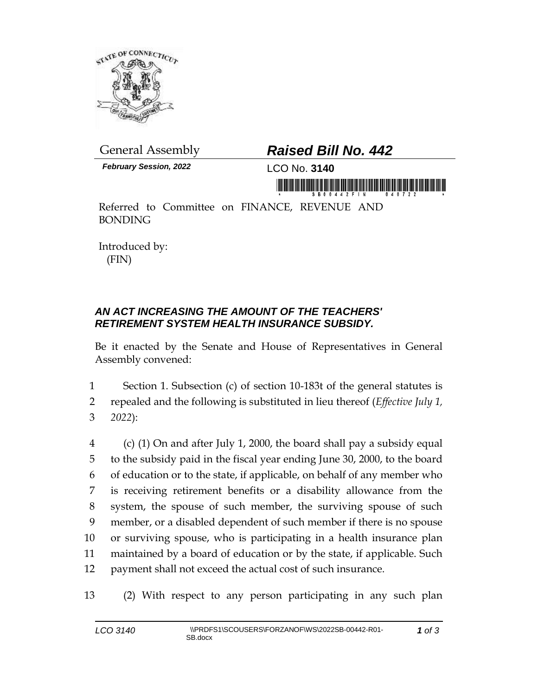

*February Session, 2022* LCO No. **3140**

## General Assembly *Raised Bill No. 442*

Referred to Committee on FINANCE, REVENUE AND BONDING

Introduced by: (FIN)

## *AN ACT INCREASING THE AMOUNT OF THE TEACHERS' RETIREMENT SYSTEM HEALTH INSURANCE SUBSIDY.*

Be it enacted by the Senate and House of Representatives in General Assembly convened:

1 Section 1. Subsection (c) of section 10-183t of the general statutes is 2 repealed and the following is substituted in lieu thereof (*Effective July 1,*  3 *2022*):

 (c) (1) On and after July 1, 2000, the board shall pay a subsidy equal to the subsidy paid in the fiscal year ending June 30, 2000, to the board of education or to the state, if applicable, on behalf of any member who is receiving retirement benefits or a disability allowance from the system, the spouse of such member, the surviving spouse of such member, or a disabled dependent of such member if there is no spouse or surviving spouse, who is participating in a health insurance plan maintained by a board of education or by the state, if applicable. Such payment shall not exceed the actual cost of such insurance.

13 (2) With respect to any person participating in any such plan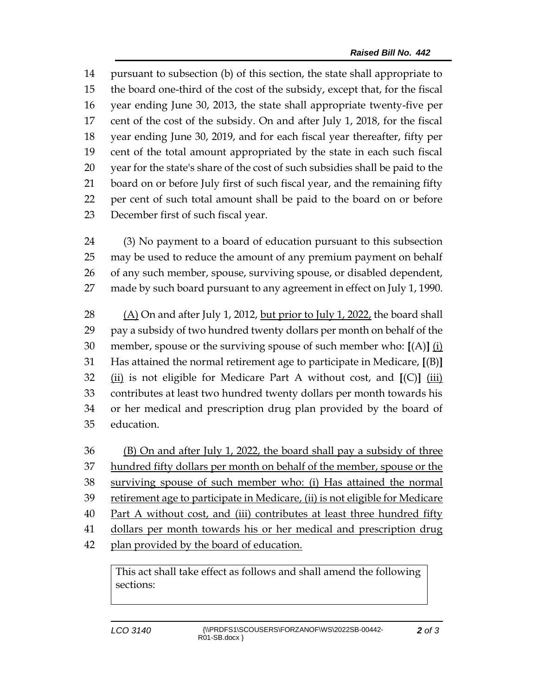pursuant to subsection (b) of this section, the state shall appropriate to the board one-third of the cost of the subsidy, except that, for the fiscal year ending June 30, 2013, the state shall appropriate twenty-five per cent of the cost of the subsidy. On and after July 1, 2018, for the fiscal year ending June 30, 2019, and for each fiscal year thereafter, fifty per cent of the total amount appropriated by the state in each such fiscal year for the state's share of the cost of such subsidies shall be paid to the board on or before July first of such fiscal year, and the remaining fifty per cent of such total amount shall be paid to the board on or before December first of such fiscal year.

 (3) No payment to a board of education pursuant to this subsection may be used to reduce the amount of any premium payment on behalf of any such member, spouse, surviving spouse, or disabled dependent, made by such board pursuant to any agreement in effect on July 1, 1990.

 (A) On and after July 1, 2012, but prior to July 1, 2022, the board shall pay a subsidy of two hundred twenty dollars per month on behalf of the member, spouse or the surviving spouse of such member who: **[**(A)**]** (i) Has attained the normal retirement age to participate in Medicare, **[**(B)**]** (ii) is not eligible for Medicare Part A without cost, and **[**(C)**]** (iii) contributes at least two hundred twenty dollars per month towards his or her medical and prescription drug plan provided by the board of education.

 (B) On and after July 1, 2022, the board shall pay a subsidy of three 37 hundred fifty dollars per month on behalf of the member, spouse or the surviving spouse of such member who: (i) Has attained the normal retirement age to participate in Medicare, (ii) is not eligible for Medicare Part A without cost, and (iii) contributes at least three hundred fifty dollars per month towards his or her medical and prescription drug 42 plan provided by the board of education.

This act shall take effect as follows and shall amend the following sections: